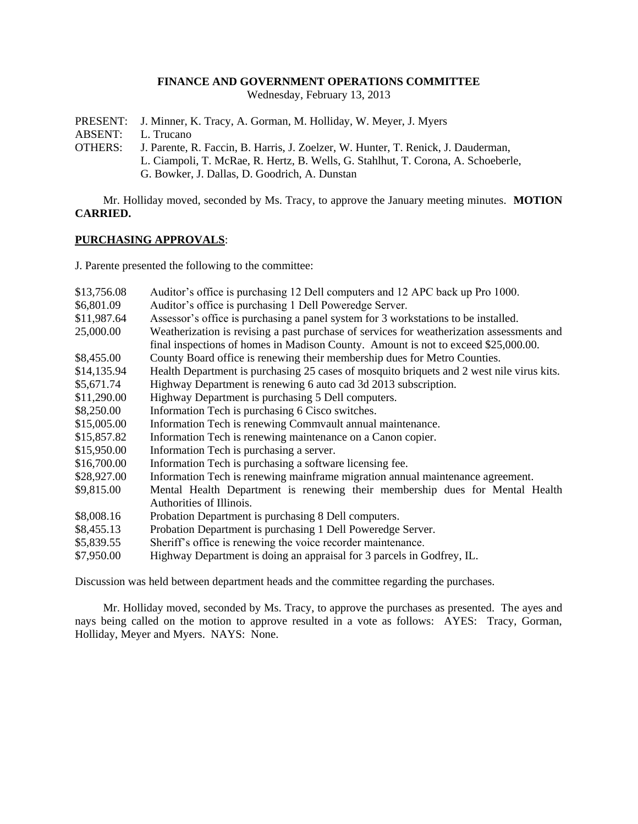## **FINANCE AND GOVERNMENT OPERATIONS COMMITTEE**

Wednesday, February 13, 2013

- PRESENT: J. Minner, K. Tracy, A. Gorman, M. Holliday, W. Meyer, J. Myers
- ABSENT: L. Trucano
- OTHERS: J. Parente, R. Faccin, B. Harris, J. Zoelzer, W. Hunter, T. Renick, J. Dauderman, L. Ciampoli, T. McRae, R. Hertz, B. Wells, G. Stahlhut, T. Corona, A. Schoeberle, G. Bowker, J. Dallas, D. Goodrich, A. Dunstan

Mr. Holliday moved, seconded by Ms. Tracy, to approve the January meeting minutes. **MOTION CARRIED.**

## **PURCHASING APPROVALS**:

J. Parente presented the following to the committee:

| \$13,756.08 | Auditor's office is purchasing 12 Dell computers and 12 APC back up Pro 1000.             |
|-------------|-------------------------------------------------------------------------------------------|
| \$6,801.09  | Auditor's office is purchasing 1 Dell Poweredge Server.                                   |
| \$11,987.64 | Assessor's office is purchasing a panel system for 3 workstations to be installed.        |
| 25,000.00   | Weatherization is revising a past purchase of services for weatherization assessments and |
|             | final inspections of homes in Madison County. Amount is not to exceed \$25,000.00.        |
| \$8,455.00  | County Board office is renewing their membership dues for Metro Counties.                 |
| \$14,135.94 | Health Department is purchasing 25 cases of mosquito briquets and 2 west nile virus kits. |
| \$5,671.74  | Highway Department is renewing 6 auto cad 3d 2013 subscription.                           |
| \$11,290.00 | Highway Department is purchasing 5 Dell computers.                                        |
| \$8,250.00  | Information Tech is purchasing 6 Cisco switches.                                          |
| \$15,005.00 | Information Tech is renewing Commvault annual maintenance.                                |
| \$15,857.82 | Information Tech is renewing maintenance on a Canon copier.                               |
| \$15,950.00 | Information Tech is purchasing a server.                                                  |
| \$16,700.00 | Information Tech is purchasing a software licensing fee.                                  |
| \$28,927.00 | Information Tech is renewing mainframe migration annual maintenance agreement.            |
| \$9,815.00  | Mental Health Department is renewing their membership dues for Mental Health              |
|             | Authorities of Illinois.                                                                  |
| \$8,008.16  | Probation Department is purchasing 8 Dell computers.                                      |
| \$8,455.13  | Probation Department is purchasing 1 Dell Poweredge Server.                               |
| \$5,839.55  | Sheriff's office is renewing the voice recorder maintenance.                              |
| \$7,950.00  | Highway Department is doing an appraisal for 3 parcels in Godfrey, IL.                    |

Discussion was held between department heads and the committee regarding the purchases.

Mr. Holliday moved, seconded by Ms. Tracy, to approve the purchases as presented. The ayes and nays being called on the motion to approve resulted in a vote as follows: AYES: Tracy, Gorman, Holliday, Meyer and Myers. NAYS: None.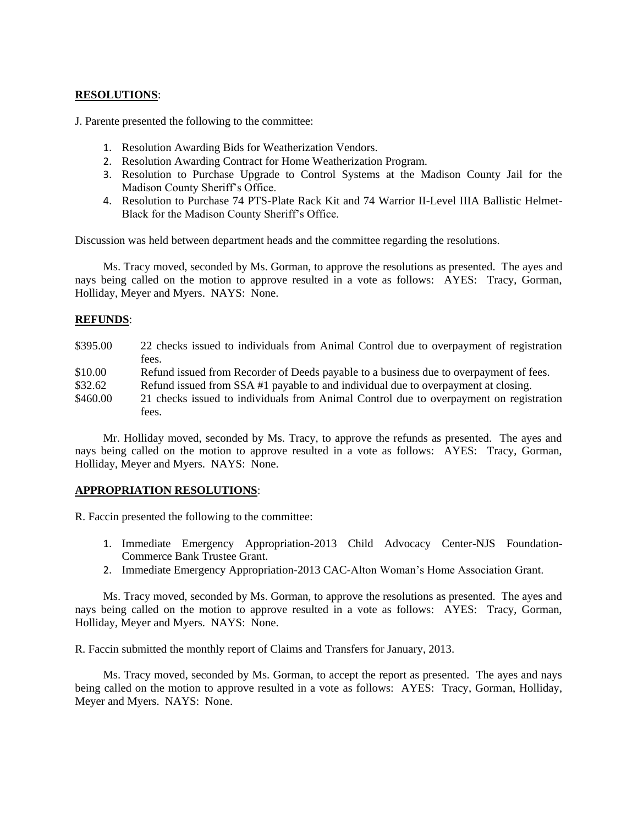# **RESOLUTIONS**:

J. Parente presented the following to the committee:

- 1. Resolution Awarding Bids for Weatherization Vendors.
- 2. Resolution Awarding Contract for Home Weatherization Program.
- 3. Resolution to Purchase Upgrade to Control Systems at the Madison County Jail for the Madison County Sheriff's Office.
- 4. Resolution to Purchase 74 PTS-Plate Rack Kit and 74 Warrior II-Level IIIA Ballistic Helmet-Black for the Madison County Sheriff's Office.

Discussion was held between department heads and the committee regarding the resolutions.

Ms. Tracy moved, seconded by Ms. Gorman, to approve the resolutions as presented. The ayes and nays being called on the motion to approve resulted in a vote as follows: AYES: Tracy, Gorman, Holliday, Meyer and Myers. NAYS: None.

#### **REFUNDS**:

| \$395.00 | 22 checks issued to individuals from Animal Control due to overpayment of registration |
|----------|----------------------------------------------------------------------------------------|
|          | fees.                                                                                  |
| \$10.00  | Refund issued from Recorder of Deeds payable to a business due to overpayment of fees. |
| \$32.62  | Refund issued from SSA #1 payable to and individual due to overpayment at closing.     |
| \$460.00 | 21 checks issued to individuals from Animal Control due to overpayment on registration |
|          | fees.                                                                                  |

Mr. Holliday moved, seconded by Ms. Tracy, to approve the refunds as presented. The ayes and nays being called on the motion to approve resulted in a vote as follows: AYES: Tracy, Gorman, Holliday, Meyer and Myers. NAYS: None.

## **APPROPRIATION RESOLUTIONS**:

R. Faccin presented the following to the committee:

- 1. Immediate Emergency Appropriation-2013 Child Advocacy Center-NJS Foundation-Commerce Bank Trustee Grant.
- 2. Immediate Emergency Appropriation-2013 CAC-Alton Woman's Home Association Grant.

Ms. Tracy moved, seconded by Ms. Gorman, to approve the resolutions as presented. The ayes and nays being called on the motion to approve resulted in a vote as follows: AYES: Tracy, Gorman, Holliday, Meyer and Myers. NAYS: None.

R. Faccin submitted the monthly report of Claims and Transfers for January, 2013.

Ms. Tracy moved, seconded by Ms. Gorman, to accept the report as presented. The ayes and nays being called on the motion to approve resulted in a vote as follows: AYES: Tracy, Gorman, Holliday, Meyer and Myers. NAYS: None.